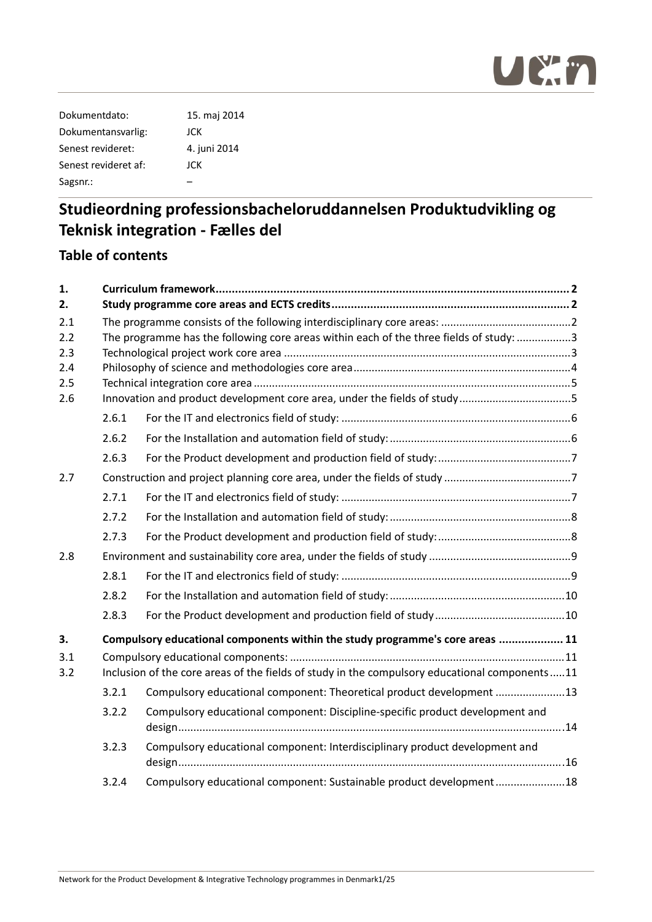

| Dokumentdato:        | 15. maj 2014 |
|----------------------|--------------|
| Dokumentansvarlig:   | JCK          |
| Senest revideret:    | 4. juni 2014 |
| Senest revideret af: | JCK          |
| Sagsnr.:             |              |
|                      |              |

## **Table of contents**

| 1.         |                                                                                        |                                                                                               |  |  |
|------------|----------------------------------------------------------------------------------------|-----------------------------------------------------------------------------------------------|--|--|
| 2.         |                                                                                        |                                                                                               |  |  |
| 2.1        |                                                                                        |                                                                                               |  |  |
| 2.2        | The programme has the following core areas within each of the three fields of study: 3 |                                                                                               |  |  |
| 2.3        |                                                                                        |                                                                                               |  |  |
| 2.4        |                                                                                        |                                                                                               |  |  |
| 2.5<br>2.6 |                                                                                        | Innovation and product development core area, under the fields of study5                      |  |  |
|            | 2.6.1                                                                                  |                                                                                               |  |  |
|            | 2.6.2                                                                                  |                                                                                               |  |  |
|            | 2.6.3                                                                                  |                                                                                               |  |  |
| 2.7        |                                                                                        |                                                                                               |  |  |
|            | 2.7.1                                                                                  |                                                                                               |  |  |
|            | 2.7.2                                                                                  |                                                                                               |  |  |
|            | 2.7.3                                                                                  |                                                                                               |  |  |
| 2.8        |                                                                                        |                                                                                               |  |  |
|            | 2.8.1                                                                                  |                                                                                               |  |  |
|            | 2.8.2                                                                                  |                                                                                               |  |  |
|            | 2.8.3                                                                                  |                                                                                               |  |  |
| 3.         |                                                                                        | Compulsory educational components within the study programme's core areas  11                 |  |  |
| 3.1        |                                                                                        |                                                                                               |  |  |
| 3.2        |                                                                                        | Inclusion of the core areas of the fields of study in the compulsory educational components11 |  |  |
|            | 3.2.1                                                                                  | Compulsory educational component: Theoretical product development 13                          |  |  |
|            | 3.2.2                                                                                  | Compulsory educational component: Discipline-specific product development and                 |  |  |
|            | 3.2.3                                                                                  | Compulsory educational component: Interdisciplinary product development and                   |  |  |
|            | 3.2.4                                                                                  | Compulsory educational component: Sustainable product development18                           |  |  |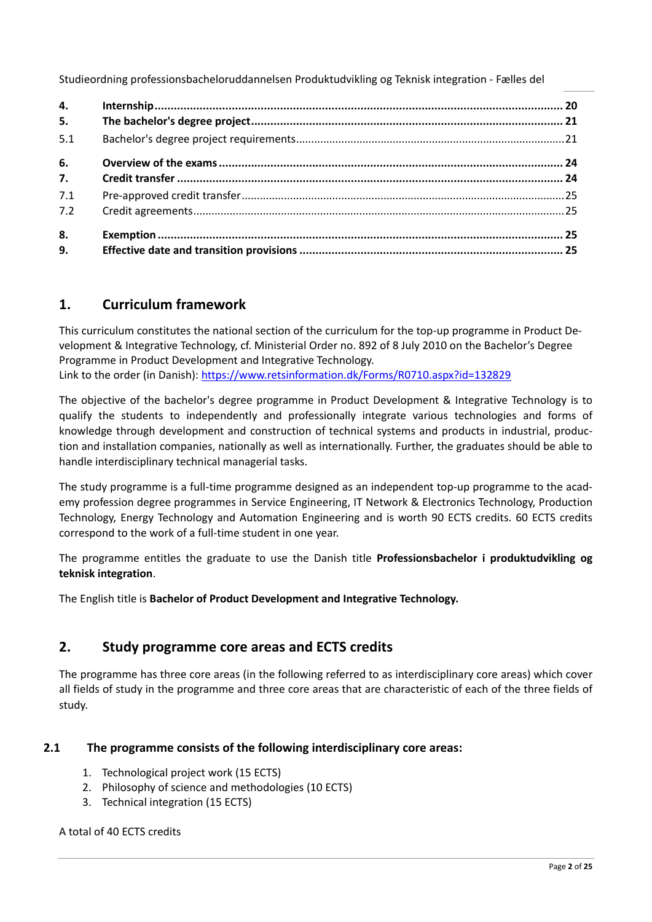| 4.  |  |
|-----|--|
| 5.  |  |
| 5.1 |  |
| 6.  |  |
| 7.  |  |
| 7.1 |  |
| 7.2 |  |
| 8.  |  |
| 9.  |  |

## **1. Curriculum framework**

This curriculum constitutes the national section of the curriculum for the top-up programme in Product Development & Integrative Technology, cf. Ministerial Order no. 892 of 8 July 2010 on the Bachelor's Degree Programme in Product Development and Integrative Technology. Link to the order (in Danish): https://www.retsinformation.dk/Forms/R0710.aspx?id=132829

The objective of the bachelor's degree programme in Product Development & Integrative Technology is to qualify the students to independently and professionally integrate various technologies and forms of knowledge through development and construction of technical systems and products in industrial, produc‐ tion and installation companies, nationally as well as internationally. Further, the graduates should be able to handle interdisciplinary technical managerial tasks.

The study programme is a full-time programme designed as an independent top-up programme to the academy profession degree programmes in Service Engineering, IT Network & Electronics Technology, Production Technology, Energy Technology and Automation Engineering and is worth 90 ECTS credits. 60 ECTS credits correspond to the work of a full‐time student in one year.

The programme entitles the graduate to use the Danish title **Professionsbachelor i produktudvikling og teknisk integration**.

The English title is **Bachelor of Product Development and Integrative Technology.**

## **2. Study programme core areas and ECTS credits**

The programme has three core areas (in the following referred to as interdisciplinary core areas) which cover all fields of study in the programme and three core areas that are characteristic of each of the three fields of study.

## **2.1 The programme consists of the following interdisciplinary core areas:**

- 1. Technological project work (15 ECTS)
- 2. Philosophy of science and methodologies (10 ECTS)
- 3. Technical integration (15 ECTS)

## A total of 40 ECTS credits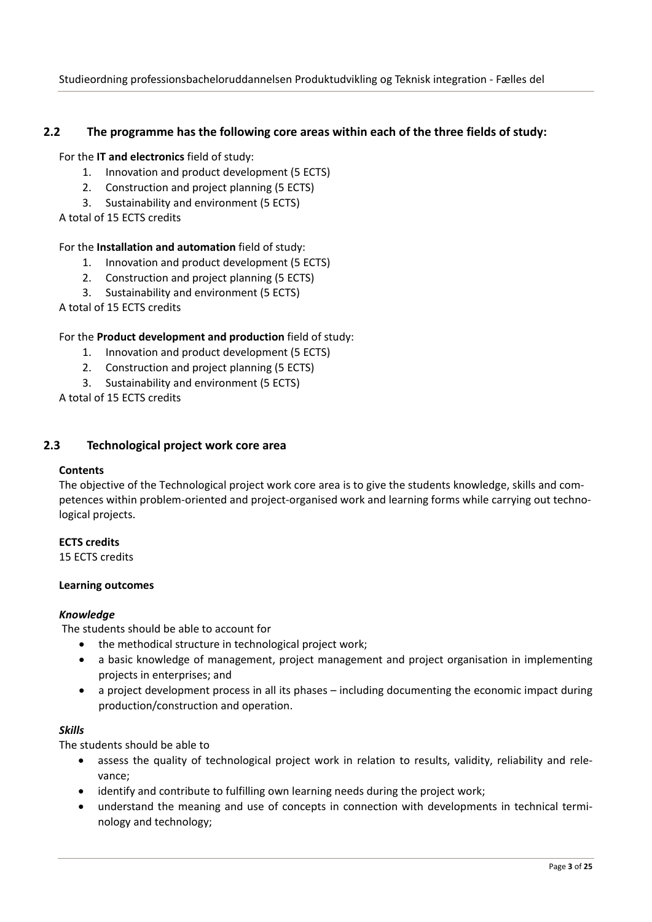## **2.2 The programme has the following core areas within each of the three fields of study:**

#### For the **IT and electronics** field of study:

- 1. Innovation and product development (5 ECTS)
- 2. Construction and project planning (5 ECTS)
- 3. Sustainability and environment (5 ECTS)

A total of 15 ECTS credits

## For the **Installation and automation** field of study:

- 1. Innovation and product development (5 ECTS)
- 2. Construction and project planning (5 ECTS)
- 3. Sustainability and environment (5 ECTS)

A total of 15 ECTS credits

## For the **Product development and production** field of study:

- 1. Innovation and product development (5 ECTS)
- 2. Construction and project planning (5 ECTS)
- 3. Sustainability and environment (5 ECTS)

A total of 15 ECTS credits

## **2.3 Technological project work core area**

#### **Contents**

The objective of the Technological project work core area is to give the students knowledge, skills and com‐ petences within problem-oriented and project-organised work and learning forms while carrying out technological projects.

#### **ECTS credits**

15 ECTS credits

#### **Learning outcomes**

## *Knowledge*

The students should be able to account for

- the methodical structure in technological project work;
- a basic knowledge of management, project management and project organisation in implementing projects in enterprises; and
- a project development process in all its phases including documenting the economic impact during production/construction and operation.

#### *Skills*

- assess the quality of technological project work in relation to results, validity, reliability and relevance;
- identify and contribute to fulfilling own learning needs during the project work;
- understand the meaning and use of concepts in connection with developments in technical terminology and technology;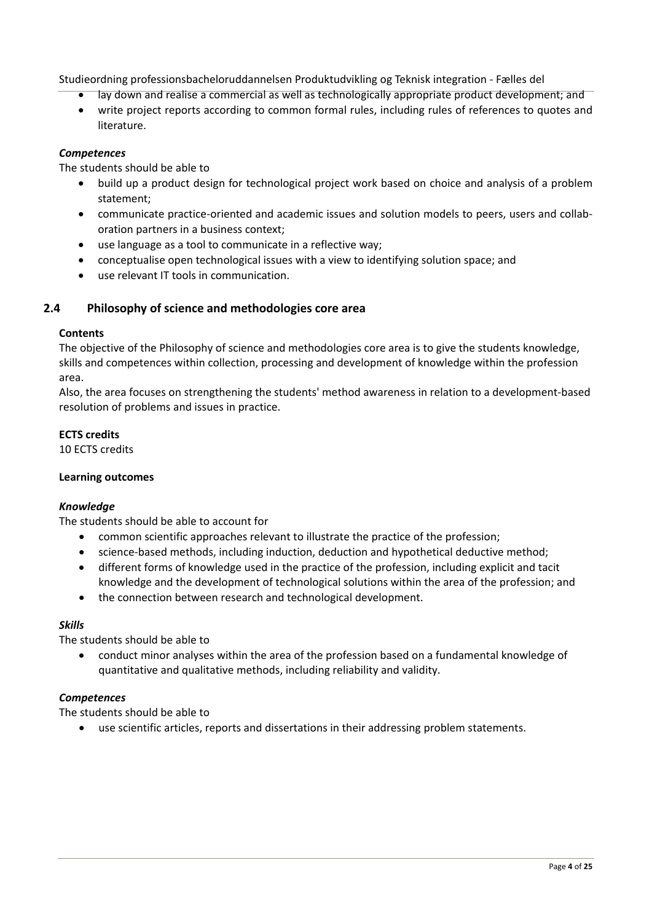- lay down and realise a commercial as well as technologically appropriate product development; and
- write project reports according to common formal rules, including rules of references to quotes and literature.

## *Competences*

The students should be able to

- build up a product design for technological project work based on choice and analysis of a problem statement;
- communicate practice-oriented and academic issues and solution models to peers, users and collaboration partners in a business context;
- use language as a tool to communicate in a reflective way;
- conceptualise open technological issues with a view to identifying solution space; and
- use relevant IT tools in communication.

## **2.4 Philosophy of science and methodologies core area**

#### **Contents**

The objective of the Philosophy of science and methodologies core area is to give the students knowledge, skills and competences within collection, processing and development of knowledge within the profession area.

Also, the area focuses on strengthening the students' method awareness in relation to a development‐based resolution of problems and issues in practice.

## **ECTS credits**

10 ECTS credits

## **Learning outcomes**

## *Knowledge*

The students should be able to account for

- common scientific approaches relevant to illustrate the practice of the profession;
- science-based methods, including induction, deduction and hypothetical deductive method;
- different forms of knowledge used in the practice of the profession, including explicit and tacit knowledge and the development of technological solutions within the area of the profession; and
- the connection between research and technological development.

## *Skills*

The students should be able to

 conduct minor analyses within the area of the profession based on a fundamental knowledge of quantitative and qualitative methods, including reliability and validity.

## *Competences*

The students should be able to

use scientific articles, reports and dissertations in their addressing problem statements.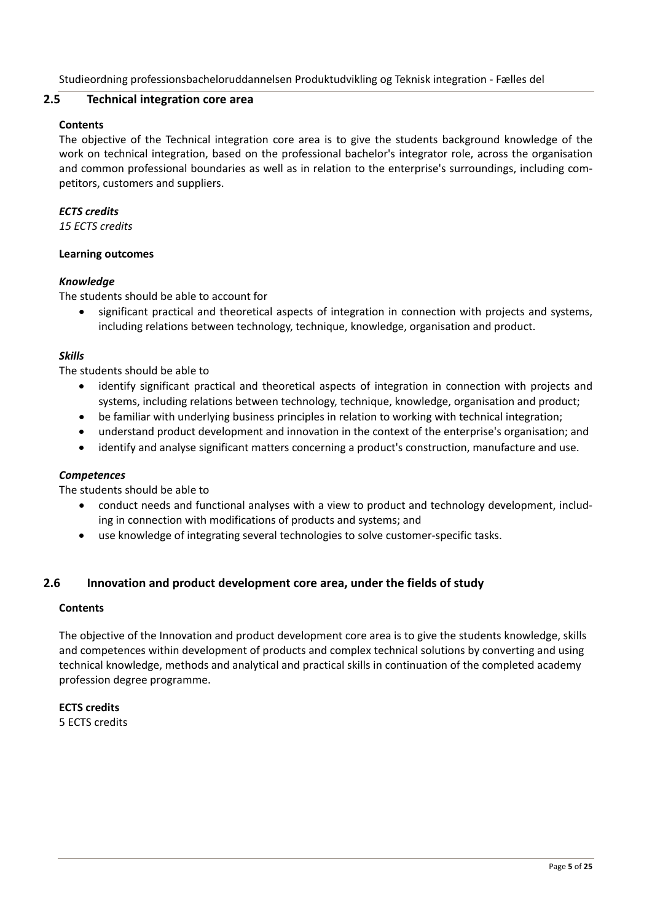## **2.5 Technical integration core area**

#### **Contents**

The objective of the Technical integration core area is to give the students background knowledge of the work on technical integration, based on the professional bachelor's integrator role, across the organisation and common professional boundaries as well as in relation to the enterprise's surroundings, including competitors, customers and suppliers.

#### *ECTS credits*

*15 ECTS credits*

#### **Learning outcomes**

#### *Knowledge*

The students should be able to account for

 significant practical and theoretical aspects of integration in connection with projects and systems, including relations between technology, technique, knowledge, organisation and product.

## *Skills*

The students should be able to

- identify significant practical and theoretical aspects of integration in connection with projects and systems, including relations between technology, technique, knowledge, organisation and product;
- be familiar with underlying business principles in relation to working with technical integration;
- understand product development and innovation in the context of the enterprise's organisation; and
- identify and analyse significant matters concerning a product's construction, manufacture and use.

#### *Competences*

The students should be able to

- conduct needs and functional analyses with a view to product and technology development, includ‐ ing in connection with modifications of products and systems; and
- use knowledge of integrating several technologies to solve customer‐specific tasks.

## **2.6 Innovation and product development core area, under the fields of study**

#### **Contents**

The objective of the Innovation and product development core area is to give the students knowledge, skills and competences within development of products and complex technical solutions by converting and using technical knowledge, methods and analytical and practical skills in continuation of the completed academy profession degree programme.

**ECTS credits** 5 ECTS credits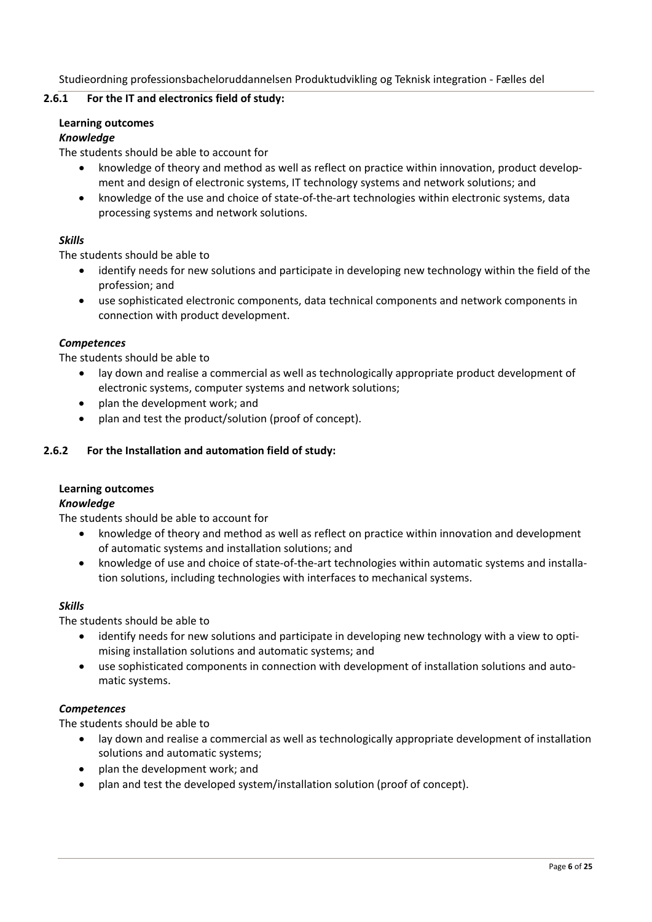## **2.6.1 For the IT and electronics field of study:**

#### **Learning outcomes**

#### *Knowledge*

The students should be able to account for

- knowledge of theory and method as well as reflect on practice within innovation, product development and design of electronic systems, IT technology systems and network solutions; and
- knowledge of the use and choice of state-of-the-art technologies within electronic systems, data processing systems and network solutions.

#### *Skills*

The students should be able to

- identify needs for new solutions and participate in developing new technology within the field of the profession; and
- use sophisticated electronic components, data technical components and network components in connection with product development.

#### *Competences*

The students should be able to

- lay down and realise a commercial as well as technologically appropriate product development of electronic systems, computer systems and network solutions;
- plan the development work; and
- plan and test the product/solution (proof of concept).

#### **2.6.2 For the Installation and automation field of study:**

#### **Learning outcomes**

#### *Knowledge*

The students should be able to account for

- knowledge of theory and method as well as reflect on practice within innovation and development of automatic systems and installation solutions; and
- knowledge of use and choice of state-of-the-art technologies within automatic systems and installation solutions, including technologies with interfaces to mechanical systems.

#### *Skills*

The students should be able to

- identify needs for new solutions and participate in developing new technology with a view to optimising installation solutions and automatic systems; and
- use sophisticated components in connection with development of installation solutions and automatic systems.

## *Competences*

- lay down and realise a commercial as well as technologically appropriate development of installation solutions and automatic systems;
- plan the development work; and
- plan and test the developed system/installation solution (proof of concept).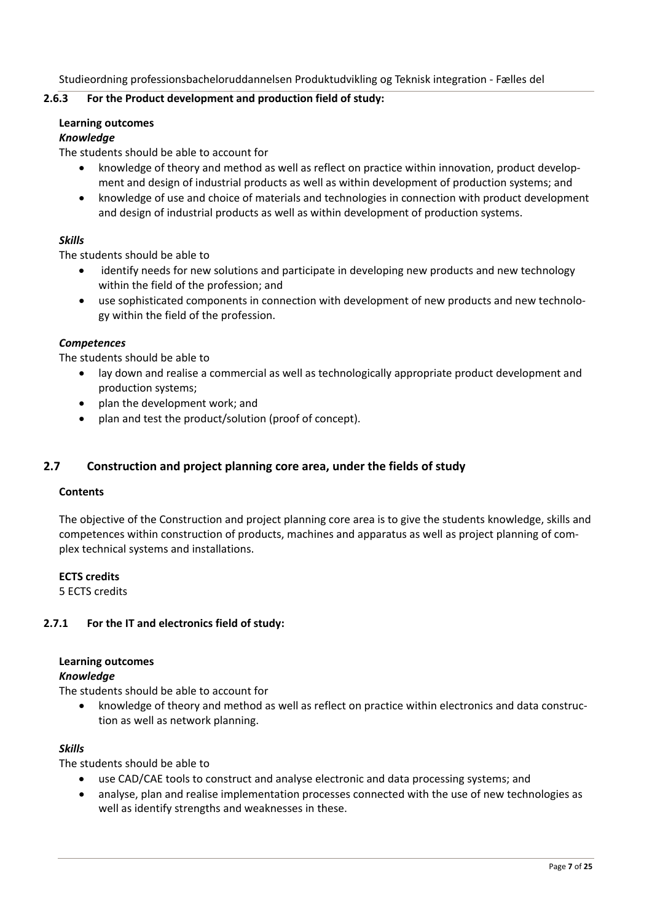#### **2.6.3 For the Product development and production field of study:**

#### **Learning outcomes**

#### *Knowledge*

The students should be able to account for

- knowledge of theory and method as well as reflect on practice within innovation, product development and design of industrial products as well as within development of production systems; and
- knowledge of use and choice of materials and technologies in connection with product development and design of industrial products as well as within development of production systems.

#### *Skills*

The students should be able to

- identify needs for new solutions and participate in developing new products and new technology within the field of the profession; and
- use sophisticated components in connection with development of new products and new technology within the field of the profession.

#### *Competences*

The students should be able to

- lay down and realise a commercial as well as technologically appropriate product development and production systems;
- plan the development work; and
- plan and test the product/solution (proof of concept).

## **2.7 Construction and project planning core area, under the fields of study**

#### **Contents**

The objective of the Construction and project planning core area is to give the students knowledge, skills and competences within construction of products, machines and apparatus as well as project planning of com‐ plex technical systems and installations.

#### **ECTS credits**

5 ECTS credits

#### **2.7.1 For the IT and electronics field of study:**

#### **Learning outcomes**

#### *Knowledge*

The students should be able to account for

● knowledge of theory and method as well as reflect on practice within electronics and data construction as well as network planning.

#### *Skills*

- use CAD/CAE tools to construct and analyse electronic and data processing systems; and
- analyse, plan and realise implementation processes connected with the use of new technologies as well as identify strengths and weaknesses in these.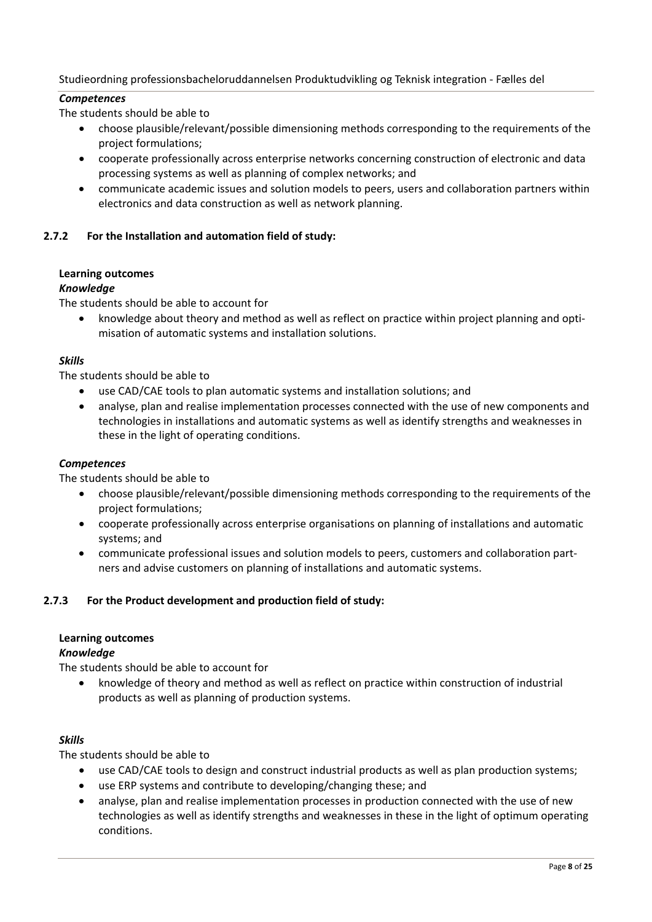## *Competences*

The students should be able to

- choose plausible/relevant/possible dimensioning methods corresponding to the requirements of the project formulations;
- cooperate professionally across enterprise networks concerning construction of electronic and data processing systems as well as planning of complex networks; and
- communicate academic issues and solution models to peers, users and collaboration partners within electronics and data construction as well as network planning.

## **2.7.2 For the Installation and automation field of study:**

## **Learning outcomes**

## *Knowledge*

The students should be able to account for

knowledge about theory and method as well as reflect on practice within project planning and optimisation of automatic systems and installation solutions.

## *Skills*

The students should be able to

- use CAD/CAE tools to plan automatic systems and installation solutions; and
- analyse, plan and realise implementation processes connected with the use of new components and technologies in installations and automatic systems as well as identify strengths and weaknesses in these in the light of operating conditions.

## *Competences*

The students should be able to

- choose plausible/relevant/possible dimensioning methods corresponding to the requirements of the project formulations;
- cooperate professionally across enterprise organisations on planning of installations and automatic systems; and
- communicate professional issues and solution models to peers, customers and collaboration part‐ ners and advise customers on planning of installations and automatic systems.

## **2.7.3 For the Product development and production field of study:**

## **Learning outcomes**

## *Knowledge*

The students should be able to account for

 knowledge of theory and method as well as reflect on practice within construction of industrial products as well as planning of production systems.

## *Skills*

- use CAD/CAE tools to design and construct industrial products as well as plan production systems;
- use ERP systems and contribute to developing/changing these; and
- analyse, plan and realise implementation processes in production connected with the use of new technologies as well as identify strengths and weaknesses in these in the light of optimum operating conditions.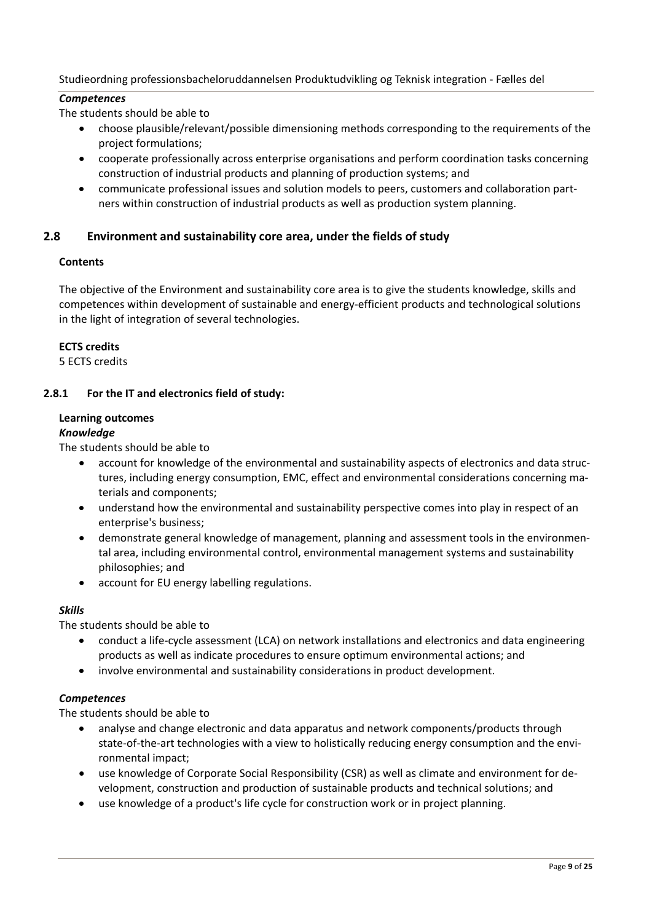## *Competences*

The students should be able to

- choose plausible/relevant/possible dimensioning methods corresponding to the requirements of the project formulations;
- cooperate professionally across enterprise organisations and perform coordination tasks concerning construction of industrial products and planning of production systems; and
- communicate professional issues and solution models to peers, customers and collaboration part‐ ners within construction of industrial products as well as production system planning.

## **2.8 Environment and sustainability core area, under the fields of study**

#### **Contents**

The objective of the Environment and sustainability core area is to give the students knowledge, skills and competences within development of sustainable and energy-efficient products and technological solutions in the light of integration of several technologies.

#### **ECTS credits**

5 ECTS credits

## **2.8.1 For the IT and electronics field of study:**

#### **Learning outcomes**

#### *Knowledge*

The students should be able to

- account for knowledge of the environmental and sustainability aspects of electronics and data structures, including energy consumption, EMC, effect and environmental considerations concerning materials and components;
- understand how the environmental and sustainability perspective comes into play in respect of an enterprise's business;
- demonstrate general knowledge of management, planning and assessment tools in the environmental area, including environmental control, environmental management systems and sustainability philosophies; and
- account for EU energy labelling regulations.

## *Skills*

The students should be able to

- conduct a life-cycle assessment (LCA) on network installations and electronics and data engineering products as well as indicate procedures to ensure optimum environmental actions; and
- involve environmental and sustainability considerations in product development.

## *Competences*

- analyse and change electronic and data apparatus and network components/products through state-of-the-art technologies with a view to holistically reducing energy consumption and the environmental impact;
- use knowledge of Corporate Social Responsibility (CSR) as well as climate and environment for development, construction and production of sustainable products and technical solutions; and
- use knowledge of a product's life cycle for construction work or in project planning.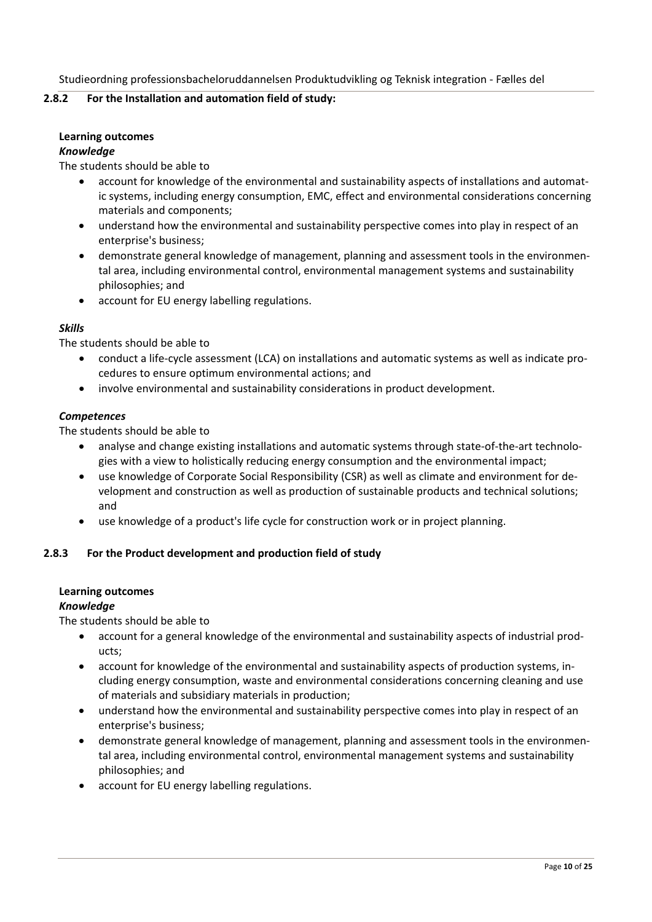#### **2.8.2 For the Installation and automation field of study:**

#### **Learning outcomes**

#### *Knowledge*

The students should be able to

- account for knowledge of the environmental and sustainability aspects of installations and automat‐ ic systems, including energy consumption, EMC, effect and environmental considerations concerning materials and components;
- understand how the environmental and sustainability perspective comes into play in respect of an enterprise's business;
- demonstrate general knowledge of management, planning and assessment tools in the environmental area, including environmental control, environmental management systems and sustainability philosophies; and
- account for EU energy labelling regulations.

#### *Skills*

The students should be able to

- conduct a life‐cycle assessment (LCA) on installations and automatic systems as well as indicate pro‐ cedures to ensure optimum environmental actions; and
- involve environmental and sustainability considerations in product development.

#### *Competences*

The students should be able to

- analyse and change existing installations and automatic systems through state-of-the-art technologies with a view to holistically reducing energy consumption and the environmental impact;
- use knowledge of Corporate Social Responsibility (CSR) as well as climate and environment for de‐ velopment and construction as well as production of sustainable products and technical solutions; and
- use knowledge of a product's life cycle for construction work or in project planning.

## **2.8.3 For the Product development and production field of study**

#### **Learning outcomes**

#### *Knowledge*

- account for a general knowledge of the environmental and sustainability aspects of industrial products;
- account for knowledge of the environmental and sustainability aspects of production systems, in‐ cluding energy consumption, waste and environmental considerations concerning cleaning and use of materials and subsidiary materials in production;
- understand how the environmental and sustainability perspective comes into play in respect of an enterprise's business;
- demonstrate general knowledge of management, planning and assessment tools in the environmental area, including environmental control, environmental management systems and sustainability philosophies; and
- account for EU energy labelling regulations.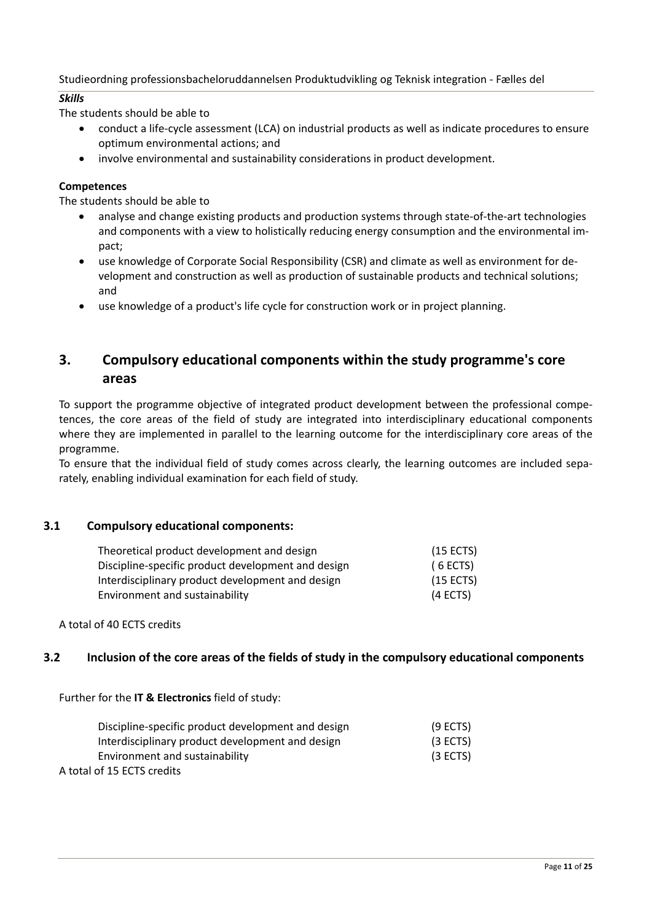## *Skills*

The students should be able to

- conduct a life‐cycle assessment (LCA) on industrial products as well as indicate procedures to ensure optimum environmental actions; and
- involve environmental and sustainability considerations in product development.

## **Competences**

The students should be able to

- analyse and change existing products and production systems through state-of-the-art technologies and components with a view to holistically reducing energy consumption and the environmental im‐ pact;
- use knowledge of Corporate Social Responsibility (CSR) and climate as well as environment for de‐ velopment and construction as well as production of sustainable products and technical solutions; and
- use knowledge of a product's life cycle for construction work or in project planning.

## **3. Compulsory educational components within the study programme's core areas**

To support the programme objective of integrated product development between the professional compe‐ tences, the core areas of the field of study are integrated into interdisciplinary educational components where they are implemented in parallel to the learning outcome for the interdisciplinary core areas of the programme.

To ensure that the individual field of study comes across clearly, the learning outcomes are included sepa‐ rately, enabling individual examination for each field of study.

## **3.1 Compulsory educational components:**

| Theoretical product development and design         | $(15$ ECTS) |
|----------------------------------------------------|-------------|
| Discipline-specific product development and design | (6 ECTS)    |
| Interdisciplinary product development and design   | $(15$ ECTS) |
| Environment and sustainability                     | (4 ECTS)    |

A total of 40 ECTS credits

## **3.2 Inclusion of the core areas of the fields of study in the compulsory educational components**

Further for the **IT & Electronics** field of study:

| Discipline-specific product development and design | $(9$ ECTS) |
|----------------------------------------------------|------------|
| Interdisciplinary product development and design   | (3 ECTS)   |
| Environment and sustainability                     | $(3$ ECTS) |
| A total of 15 ECTS credits                         |            |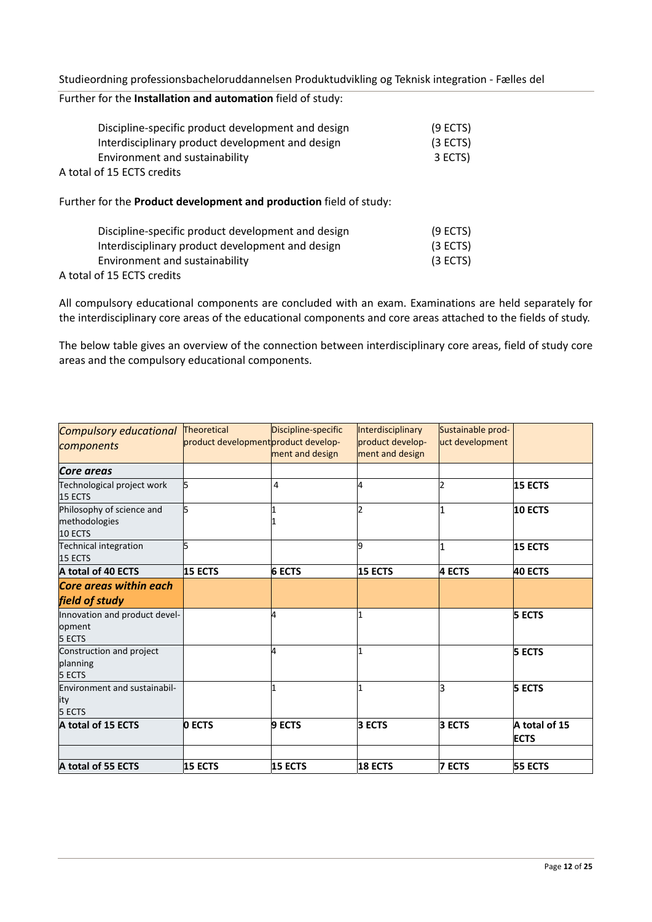| Studieordning professionsbacheloruddannelsen Produktudvikling og Teknisk integration - Fælles del |  |  |  |
|---------------------------------------------------------------------------------------------------|--|--|--|
|---------------------------------------------------------------------------------------------------|--|--|--|

## Further for the **Installation and automation** field of study:

| Discipline-specific product development and design<br>Interdisciplinary product development and design | $(9$ ECTS)<br>(3 ECTS) |
|--------------------------------------------------------------------------------------------------------|------------------------|
| Environment and sustainability<br>A total of 15 ECTS credits                                           | 3 ECTS)                |
| Further for the <b>Product development and production</b> field of study:                              |                        |

| Discipline-specific product development and design | $(9$ ECTS) |
|----------------------------------------------------|------------|
| Interdisciplinary product development and design   | (3 ECTS)   |
| Environment and sustainability                     | (3 ECTS)   |
| A total of 15 ECTS credits                         |            |

All compulsory educational components are concluded with an exam. Examinations are held separately for the interdisciplinary core areas of the educational components and core areas attached to the fields of study.

The below table gives an overview of the connection between interdisciplinary core areas, field of study core areas and the compulsory educational components.

| <b>Compulsory educational</b><br>components           | Theoretical<br>product development product develop- | Discipline-specific<br>ment and design | Interdisciplinary<br>product develop-<br>ment and design | Sustainable prod-<br>uct development |                              |
|-------------------------------------------------------|-----------------------------------------------------|----------------------------------------|----------------------------------------------------------|--------------------------------------|------------------------------|
| Core areas                                            |                                                     |                                        |                                                          |                                      |                              |
| Technological project work<br>15 ECTS                 | 5                                                   | 4                                      | 4                                                        |                                      | 15 ECTS                      |
| Philosophy of science and<br>methodologies<br>10 ECTS | 5                                                   |                                        | 12                                                       |                                      | 10 ECTS                      |
| Technical integration<br>15 ECTS                      | 5                                                   |                                        | 9                                                        |                                      | 15 ECTS                      |
| A total of 40 ECTS                                    | 15 ECTS                                             | <b>6 ECTS</b>                          | 15 ECTS                                                  | 4 ECTS                               | 40 ECTS                      |
| <b>Core areas within each</b><br>field of study       |                                                     |                                        |                                                          |                                      |                              |
| Innovation and product devel-<br>opment<br>5 ECTS     |                                                     |                                        |                                                          |                                      | <b>5 ECTS</b>                |
| Construction and project<br>planning<br>5 ECTS        |                                                     |                                        |                                                          |                                      | <b>5 ECTS</b>                |
| <b>Environment and sustainabil-</b><br>ity<br>5 ECTS  |                                                     |                                        |                                                          | k                                    | <b>5 ECTS</b>                |
| A total of 15 ECTS                                    | <b>DECTS</b>                                        | <b>9 ECTS</b>                          | 3 ECTS                                                   | <b>3 ECTS</b>                        | A total of 15<br><b>ECTS</b> |
|                                                       |                                                     |                                        |                                                          |                                      |                              |
| A total of 55 ECTS                                    | 15 ECTS                                             | 15 ECTS                                | 18 ECTS                                                  | <b>7 ECTS</b>                        | 55 ECTS                      |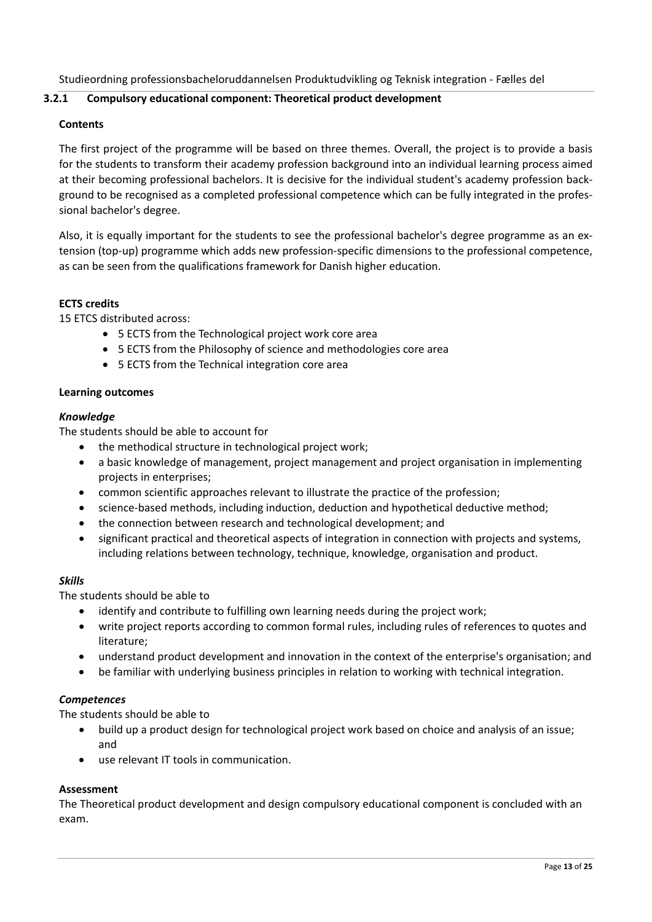## **3.2.1 Compulsory educational component: Theoretical product development**

## **Contents**

The first project of the programme will be based on three themes. Overall, the project is to provide a basis for the students to transform their academy profession background into an individual learning process aimed at their becoming professional bachelors. It is decisive for the individual student's academy profession back‐ ground to be recognised as a completed professional competence which can be fully integrated in the profes‐ sional bachelor's degree.

Also, it is equally important for the students to see the professional bachelor's degree programme as an ex‐ tension (top‐up) programme which adds new profession‐specific dimensions to the professional competence, as can be seen from the qualifications framework for Danish higher education.

#### **ECTS credits**

15 ETCS distributed across:

- 5 ECTS from the Technological project work core area
- 5 ECTS from the Philosophy of science and methodologies core area
- 5 ECTS from the Technical integration core area

#### **Learning outcomes**

#### *Knowledge*

The students should be able to account for

- the methodical structure in technological project work;
- a basic knowledge of management, project management and project organisation in implementing projects in enterprises;
- common scientific approaches relevant to illustrate the practice of the profession;
- science-based methods, including induction, deduction and hypothetical deductive method;
- the connection between research and technological development; and
- significant practical and theoretical aspects of integration in connection with projects and systems, including relations between technology, technique, knowledge, organisation and product.

## *Skills*

The students should be able to

- identify and contribute to fulfilling own learning needs during the project work;
- write project reports according to common formal rules, including rules of references to quotes and literature;
- understand product development and innovation in the context of the enterprise's organisation; and
- be familiar with underlying business principles in relation to working with technical integration.

## *Competences*

The students should be able to

- build up a product design for technological project work based on choice and analysis of an issue; and
- use relevant IT tools in communication.

## **Assessment**

The Theoretical product development and design compulsory educational component is concluded with an exam.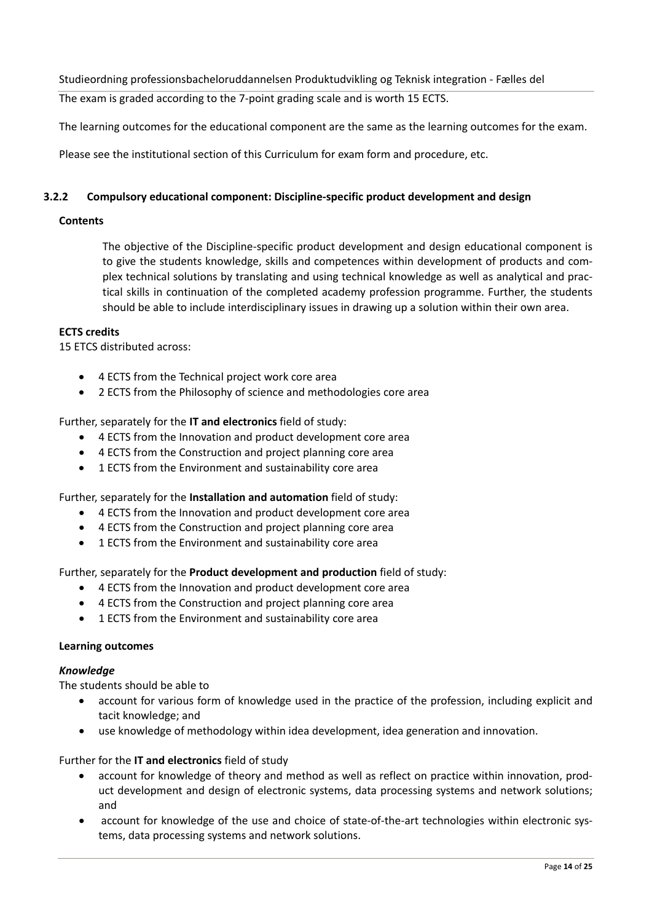The exam is graded according to the 7‐point grading scale and is worth 15 ECTS.

The learning outcomes for the educational component are the same as the learning outcomes for the exam.

Please see the institutional section of this Curriculum for exam form and procedure, etc.

## **3.2.2 Compulsory educational component: Discipline‐specific product development and design**

## **Contents**

The objective of the Discipline‐specific product development and design educational component is to give the students knowledge, skills and competences within development of products and complex technical solutions by translating and using technical knowledge as well as analytical and practical skills in continuation of the completed academy profession programme. Further, the students should be able to include interdisciplinary issues in drawing up a solution within their own area.

## **ECTS credits**

15 ETCS distributed across:

- 4 ECTS from the Technical project work core area
- 2 ECTS from the Philosophy of science and methodologies core area

Further, separately for the **IT and electronics** field of study:

- 4 ECTS from the Innovation and product development core area
- 4 ECTS from the Construction and project planning core area
- 1 ECTS from the Environment and sustainability core area

Further, separately for the **Installation and automation** field of study:

- 4 ECTS from the Innovation and product development core area
- 4 ECTS from the Construction and project planning core area
- 1 ECTS from the Environment and sustainability core area

Further, separately for the **Product development and production** field of study:

- 4 ECTS from the Innovation and product development core area
- 4 ECTS from the Construction and project planning core area
- 1 ECTS from the Environment and sustainability core area

## **Learning outcomes**

## *Knowledge*

The students should be able to

- account for various form of knowledge used in the practice of the profession, including explicit and tacit knowledge; and
- use knowledge of methodology within idea development, idea generation and innovation.

Further for the **IT and electronics** field of study

- account for knowledge of theory and method as well as reflect on practice within innovation, prod‐ uct development and design of electronic systems, data processing systems and network solutions; and
- account for knowledge of the use and choice of state-of-the-art technologies within electronic systems, data processing systems and network solutions.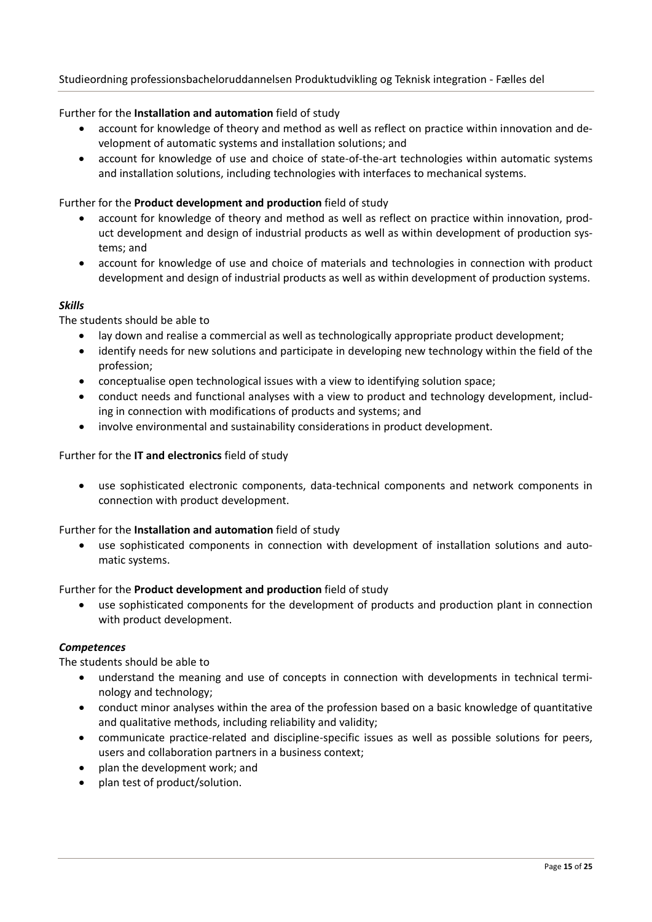## Further for the **Installation and automation** field of study

- account for knowledge of theory and method as well as reflect on practice within innovation and development of automatic systems and installation solutions; and
- account for knowledge of use and choice of state‐of‐the‐art technologies within automatic systems and installation solutions, including technologies with interfaces to mechanical systems.

#### Further for the **Product development and production** field of study

- account for knowledge of theory and method as well as reflect on practice within innovation, prod‐ uct development and design of industrial products as well as within development of production systems; and
- account for knowledge of use and choice of materials and technologies in connection with product development and design of industrial products as well as within development of production systems.

#### *Skills*

#### The students should be able to

- lay down and realise a commercial as well as technologically appropriate product development;
- identify needs for new solutions and participate in developing new technology within the field of the profession;
- conceptualise open technological issues with a view to identifying solution space;
- conduct needs and functional analyses with a view to product and technology development, includ‐ ing in connection with modifications of products and systems; and
- involve environmental and sustainability considerations in product development.

#### Further for the **IT and electronics** field of study

 use sophisticated electronic components, data‐technical components and network components in connection with product development.

## Further for the **Installation and automation** field of study

 use sophisticated components in connection with development of installation solutions and auto‐ matic systems.

#### Further for the **Product development and production** field of study

 use sophisticated components for the development of products and production plant in connection with product development.

#### *Competences*

- understand the meaning and use of concepts in connection with developments in technical termi‐ nology and technology;
- conduct minor analyses within the area of the profession based on a basic knowledge of quantitative and qualitative methods, including reliability and validity;
- communicate practice‐related and discipline‐specific issues as well as possible solutions for peers, users and collaboration partners in a business context;
- plan the development work; and
- plan test of product/solution.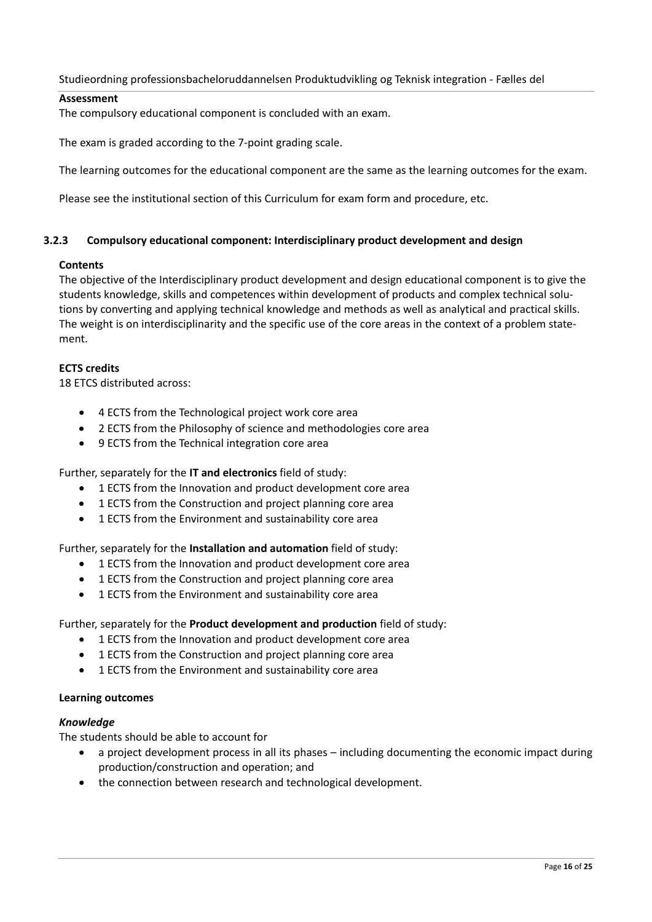## **Assessment**

The compulsory educational component is concluded with an exam.

The exam is graded according to the 7‐point grading scale.

The learning outcomes for the educational component are the same as the learning outcomes for the exam.

Please see the institutional section of this Curriculum for exam form and procedure, etc.

## **3.2.3 Compulsory educational component: Interdisciplinary product development and design**

#### **Contents**

The objective of the Interdisciplinary product development and design educational component is to give the students knowledge, skills and competences within development of products and complex technical solu‐ tions by converting and applying technical knowledge and methods as well as analytical and practical skills. The weight is on interdisciplinarity and the specific use of the core areas in the context of a problem statement.

## **ECTS credits**

18 ETCS distributed across:

- 4 ECTS from the Technological project work core area
- 2 ECTS from the Philosophy of science and methodologies core area
- 9 ECTS from the Technical integration core area

Further, separately for the **IT and electronics** field of study:

- 1 ECTS from the Innovation and product development core area
- 1 ECTS from the Construction and project planning core area
- 1 ECTS from the Environment and sustainability core area

Further, separately for the **Installation and automation** field of study:

- 1 ECTS from the Innovation and product development core area
- 1 ECTS from the Construction and project planning core area
- 1 ECTS from the Environment and sustainability core area

## Further, separately for the **Product development and production** field of study:

- 1 ECTS from the Innovation and product development core area
- 1 ECTS from the Construction and project planning core area
- 1 ECTS from the Environment and sustainability core area

#### **Learning outcomes**

#### *Knowledge*

The students should be able to account for

- a project development process in all its phases including documenting the economic impact during production/construction and operation; and
- the connection between research and technological development.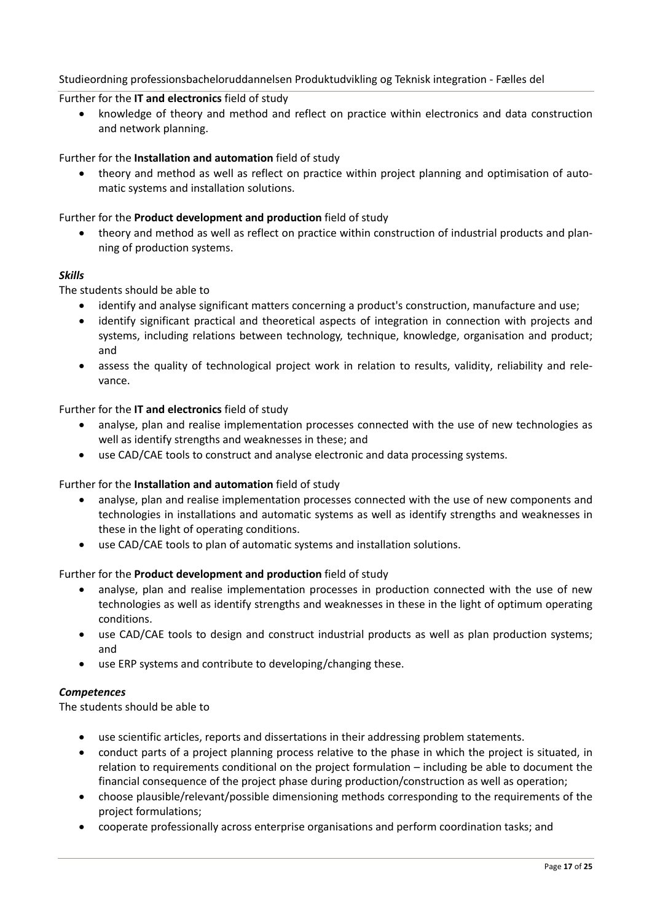#### Further for the **IT and electronics** field of study

 knowledge of theory and method and reflect on practice within electronics and data construction and network planning.

#### Further for the **Installation and automation** field of study

 theory and method as well as reflect on practice within project planning and optimisation of auto‐ matic systems and installation solutions.

#### Further for the **Product development and production** field of study

 theory and method as well as reflect on practice within construction of industrial products and plan‐ ning of production systems.

#### *Skills*

The students should be able to

- identify and analyse significant matters concerning a product's construction, manufacture and use;
- identify significant practical and theoretical aspects of integration in connection with projects and systems, including relations between technology, technique, knowledge, organisation and product; and
- assess the quality of technological project work in relation to results, validity, reliability and rele‐ vance.

#### Further for the **IT and electronics** field of study

- analyse, plan and realise implementation processes connected with the use of new technologies as well as identify strengths and weaknesses in these; and
- use CAD/CAE tools to construct and analyse electronic and data processing systems.

#### Further for the **Installation and automation** field of study

- analyse, plan and realise implementation processes connected with the use of new components and technologies in installations and automatic systems as well as identify strengths and weaknesses in these in the light of operating conditions.
- use CAD/CAE tools to plan of automatic systems and installation solutions.

#### Further for the **Product development and production** field of study

- analyse, plan and realise implementation processes in production connected with the use of new technologies as well as identify strengths and weaknesses in these in the light of optimum operating conditions.
- use CAD/CAE tools to design and construct industrial products as well as plan production systems; and
- use ERP systems and contribute to developing/changing these.

#### *Competences*

- use scientific articles, reports and dissertations in their addressing problem statements.
- conduct parts of a project planning process relative to the phase in which the project is situated, in relation to requirements conditional on the project formulation – including be able to document the financial consequence of the project phase during production/construction as well as operation;
- choose plausible/relevant/possible dimensioning methods corresponding to the requirements of the project formulations;
- cooperate professionally across enterprise organisations and perform coordination tasks; and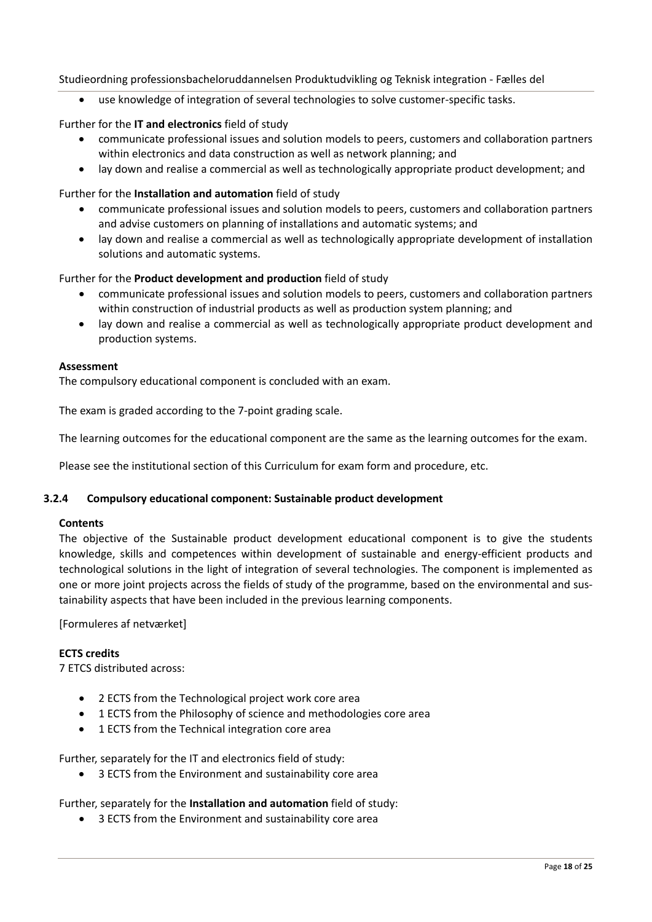use knowledge of integration of several technologies to solve customer‐specific tasks.

## Further for the **IT and electronics** field of study

- communicate professional issues and solution models to peers, customers and collaboration partners within electronics and data construction as well as network planning; and
- lay down and realise a commercial as well as technologically appropriate product development; and

## Further for the **Installation and automation** field of study

- communicate professional issues and solution models to peers, customers and collaboration partners and advise customers on planning of installations and automatic systems; and
- lay down and realise a commercial as well as technologically appropriate development of installation solutions and automatic systems.

## Further for the **Product development and production** field of study

- communicate professional issues and solution models to peers, customers and collaboration partners within construction of industrial products as well as production system planning; and
- lay down and realise a commercial as well as technologically appropriate product development and production systems.

#### **Assessment**

The compulsory educational component is concluded with an exam.

The exam is graded according to the 7‐point grading scale.

The learning outcomes for the educational component are the same as the learning outcomes for the exam.

Please see the institutional section of this Curriculum for exam form and procedure, etc.

## **3.2.4 Compulsory educational component: Sustainable product development**

## **Contents**

The objective of the Sustainable product development educational component is to give the students knowledge, skills and competences within development of sustainable and energy-efficient products and technological solutions in the light of integration of several technologies. The component is implemented as one or more joint projects across the fields of study of the programme, based on the environmental and sus‐ tainability aspects that have been included in the previous learning components.

[Formuleres af netværket]

## **ECTS credits**

7 ETCS distributed across:

- 2 ECTS from the Technological project work core area
- 1 ECTS from the Philosophy of science and methodologies core area
- 1 ECTS from the Technical integration core area

Further, separately for the IT and electronics field of study:

3 ECTS from the Environment and sustainability core area

## Further, separately for the **Installation and automation** field of study:

3 ECTS from the Environment and sustainability core area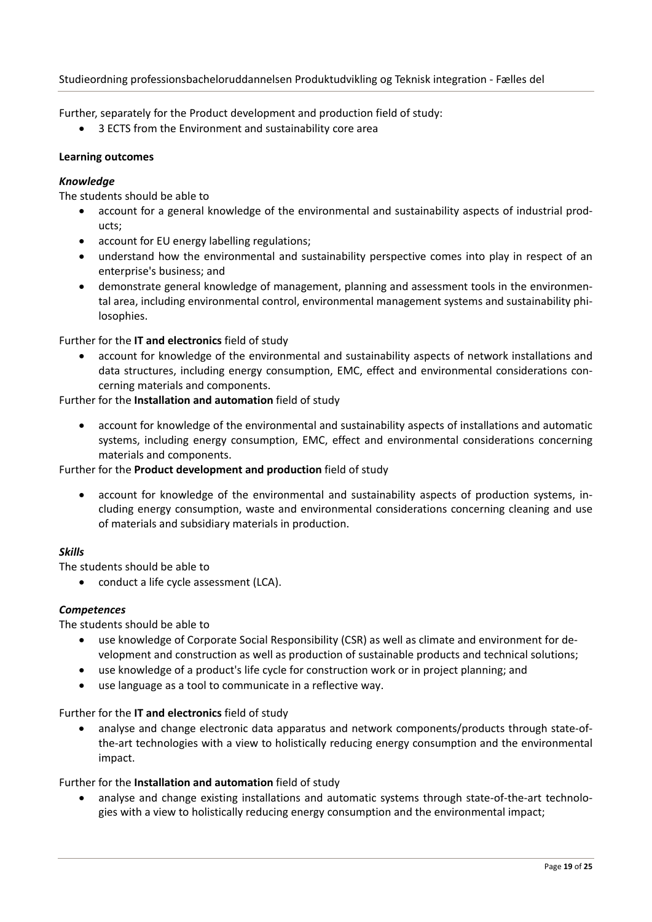Further, separately for the Product development and production field of study:

3 ECTS from the Environment and sustainability core area

## **Learning outcomes**

## *Knowledge*

The students should be able to

- account for a general knowledge of the environmental and sustainability aspects of industrial products;
- account for EU energy labelling regulations;
- understand how the environmental and sustainability perspective comes into play in respect of an enterprise's business; and
- demonstrate general knowledge of management, planning and assessment tools in the environmental area, including environmental control, environmental management systems and sustainability phi‐ losophies.

Further for the **IT and electronics** field of study

 account for knowledge of the environmental and sustainability aspects of network installations and data structures, including energy consumption, EMC, effect and environmental considerations con‐ cerning materials and components.

Further for the **Installation and automation** field of study

 account for knowledge of the environmental and sustainability aspects of installations and automatic systems, including energy consumption, EMC, effect and environmental considerations concerning materials and components.

## Further for the **Product development and production** field of study

 account for knowledge of the environmental and sustainability aspects of production systems, in‐ cluding energy consumption, waste and environmental considerations concerning cleaning and use of materials and subsidiary materials in production.

## *Skills*

The students should be able to

• conduct a life cycle assessment (LCA).

## *Competences*

The students should be able to

- use knowledge of Corporate Social Responsibility (CSR) as well as climate and environment for development and construction as well as production of sustainable products and technical solutions;
- use knowledge of a product's life cycle for construction work or in project planning; and
- use language as a tool to communicate in a reflective way.

## Further for the **IT and electronics** field of study

 analyse and change electronic data apparatus and network components/products through state‐of‐ the‐art technologies with a view to holistically reducing energy consumption and the environmental impact.

## Further for the **Installation and automation** field of study

 analyse and change existing installations and automatic systems through state‐of‐the‐art technolo‐ gies with a view to holistically reducing energy consumption and the environmental impact;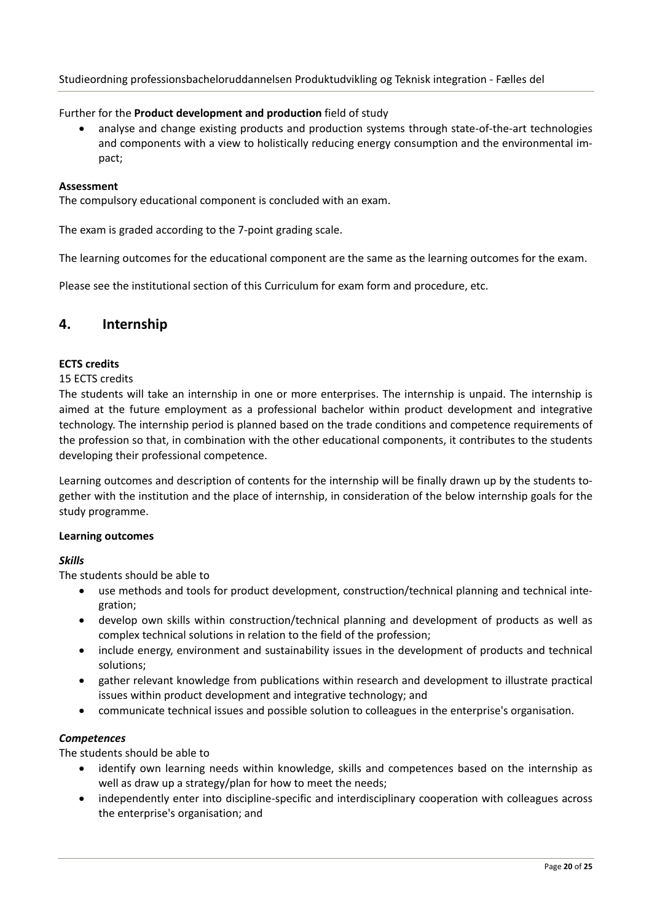## Further for the **Product development and production** field of study

● analyse and change existing products and production systems through state-of-the-art technologies and components with a view to holistically reducing energy consumption and the environmental im‐ pact;

#### **Assessment**

The compulsory educational component is concluded with an exam.

The exam is graded according to the 7‐point grading scale.

The learning outcomes for the educational component are the same as the learning outcomes for the exam.

Please see the institutional section of this Curriculum for exam form and procedure, etc.

## **4. Internship**

## **ECTS credits**

#### 15 ECTS credits

The students will take an internship in one or more enterprises. The internship is unpaid. The internship is aimed at the future employment as a professional bachelor within product development and integrative technology. The internship period is planned based on the trade conditions and competence requirements of the profession so that, in combination with the other educational components, it contributes to the students developing their professional competence.

Learning outcomes and description of contents for the internship will be finally drawn up by the students to‐ gether with the institution and the place of internship, in consideration of the below internship goals for the study programme.

#### **Learning outcomes**

## *Skills*

The students should be able to

- use methods and tools for product development, construction/technical planning and technical integration;
- develop own skills within construction/technical planning and development of products as well as complex technical solutions in relation to the field of the profession;
- include energy, environment and sustainability issues in the development of products and technical solutions;
- gather relevant knowledge from publications within research and development to illustrate practical issues within product development and integrative technology; and
- communicate technical issues and possible solution to colleagues in the enterprise's organisation.

## *Competences*

- identify own learning needs within knowledge, skills and competences based on the internship as well as draw up a strategy/plan for how to meet the needs;
- independently enter into discipline‐specific and interdisciplinary cooperation with colleagues across the enterprise's organisation; and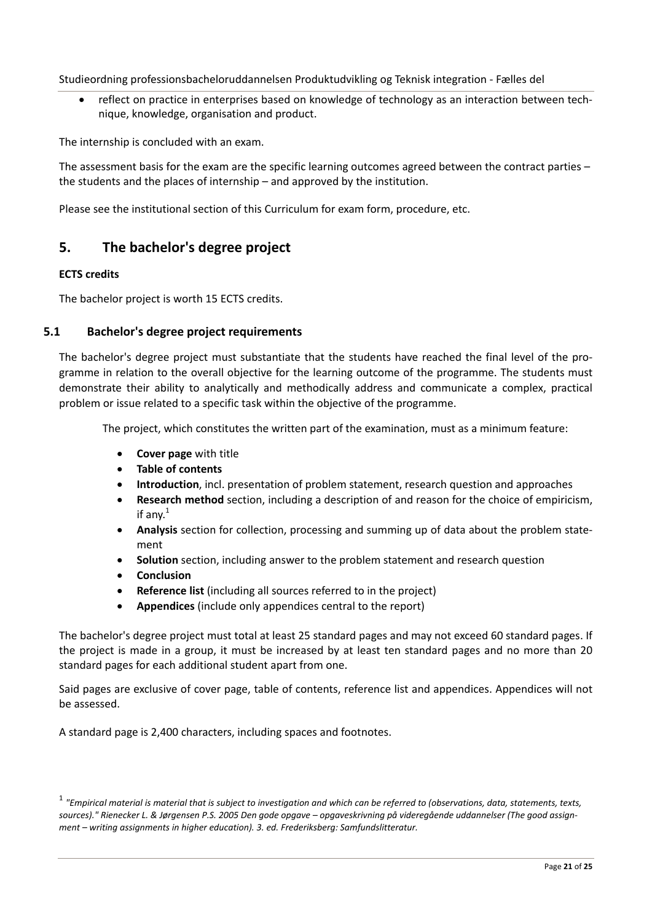reflect on practice in enterprises based on knowledge of technology as an interaction between technique, knowledge, organisation and product.

The internship is concluded with an exam.

The assessment basis for the exam are the specific learning outcomes agreed between the contract parties – the students and the places of internship – and approved by the institution.

Please see the institutional section of this Curriculum for exam form, procedure, etc.

## **5. The bachelor's degree project**

## **ECTS credits**

The bachelor project is worth 15 ECTS credits.

## **5.1 Bachelor's degree project requirements**

The bachelor's degree project must substantiate that the students have reached the final level of the programme in relation to the overall objective for the learning outcome of the programme. The students must demonstrate their ability to analytically and methodically address and communicate a complex, practical problem or issue related to a specific task within the objective of the programme.

The project, which constitutes the written part of the examination, must as a minimum feature:

- **Cover page** with title
- **Table of contents**
- **Introduction**, incl. presentation of problem statement, research question and approaches
- **Research method** section, including a description of and reason for the choice of empiricism, if any. $<sup>1</sup>$ </sup>
- **Analysis** section for collection, processing and summing up of data about the problem statement
- **Solution** section, including answer to the problem statement and research question
- **Conclusion**
- **Reference list** (including all sources referred to in the project)
- **Appendices** (include only appendices central to the report)

The bachelor's degree project must total at least 25 standard pages and may not exceed 60 standard pages. If the project is made in a group, it must be increased by at least ten standard pages and no more than 20 standard pages for each additional student apart from one.

Said pages are exclusive of cover page, table of contents, reference list and appendices. Appendices will not be assessed.

A standard page is 2,400 characters, including spaces and footnotes.

 $1$  "Empirical material is material that is subject to investigation and which can be referred to (observations, data, statements, texts, sources)." Rienecker L. & Jørgensen P.S. 2005 Den gode opgave – opgaveskrivning på videregående uddannelser (The good assign*ment – writing assignments in higher education). 3. ed. Frederiksberg: Samfundslitteratur.*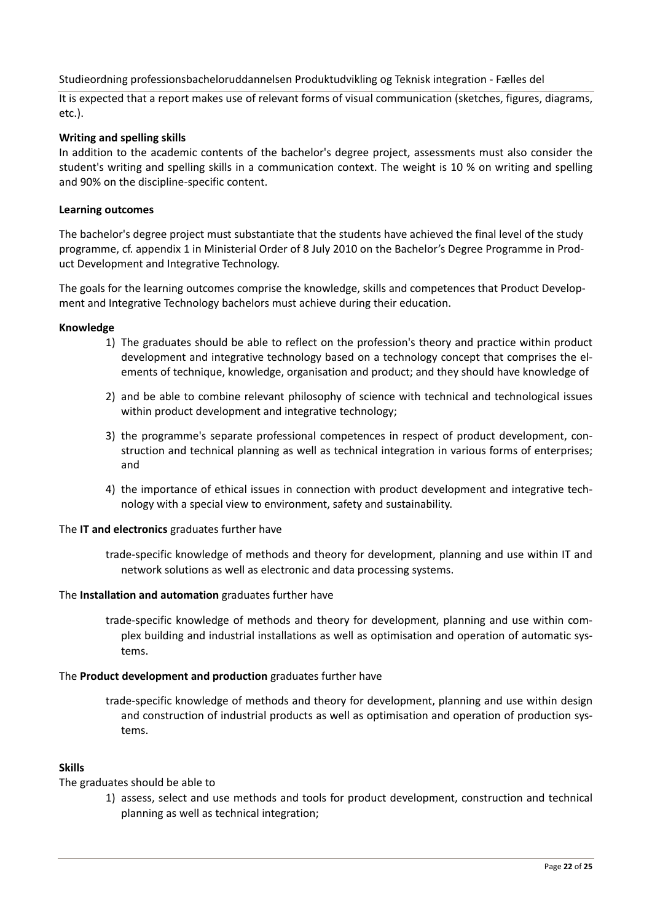It is expected that a report makes use of relevant forms of visual communication (sketches, figures, diagrams, etc.).

## **Writing and spelling skills**

In addition to the academic contents of the bachelor's degree project, assessments must also consider the student's writing and spelling skills in a communication context. The weight is 10 % on writing and spelling and 90% on the discipline‐specific content.

## **Learning outcomes**

The bachelor's degree project must substantiate that the students have achieved the final level of the study programme, cf. appendix 1 in Ministerial Order of 8 July 2010 on the Bachelor's Degree Programme in Prod‐ uct Development and Integrative Technology.

The goals for the learning outcomes comprise the knowledge, skills and competences that Product Develop‐ ment and Integrative Technology bachelors must achieve during their education.

#### **Knowledge**

- 1) The graduates should be able to reflect on the profession's theory and practice within product development and integrative technology based on a technology concept that comprises the el‐ ements of technique, knowledge, organisation and product; and they should have knowledge of
- 2) and be able to combine relevant philosophy of science with technical and technological issues within product development and integrative technology;
- 3) the programme's separate professional competences in respect of product development, con‐ struction and technical planning as well as technical integration in various forms of enterprises; and
- 4) the importance of ethical issues in connection with product development and integrative technology with a special view to environment, safety and sustainability.

## The **IT and electronics** graduates further have

trade‐specific knowledge of methods and theory for development, planning and use within IT and network solutions as well as electronic and data processing systems.

#### The **Installation and automation** graduates further have

trade‐specific knowledge of methods and theory for development, planning and use within com‐ plex building and industrial installations as well as optimisation and operation of automatic sys‐ tems.

## The **Product development and production** graduates further have

trade‐specific knowledge of methods and theory for development, planning and use within design and construction of industrial products as well as optimisation and operation of production systems.

## **Skills**

The graduates should be able to

1) assess, select and use methods and tools for product development, construction and technical planning as well as technical integration;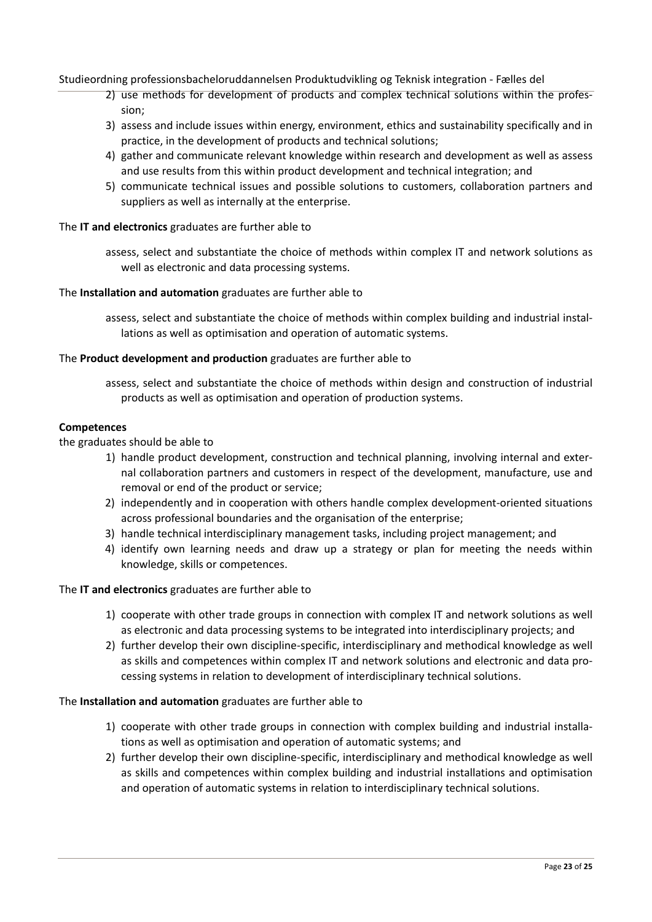- 2) use methods for development of products and complex technical solutions within the profes‐ sion;
- 3) assess and include issues within energy, environment, ethics and sustainability specifically and in practice, in the development of products and technical solutions;
- 4) gather and communicate relevant knowledge within research and development as well as assess and use results from this within product development and technical integration; and
- 5) communicate technical issues and possible solutions to customers, collaboration partners and suppliers as well as internally at the enterprise.

#### The **IT and electronics** graduates are further able to

assess, select and substantiate the choice of methods within complex IT and network solutions as well as electronic and data processing systems.

#### The **Installation and automation** graduates are further able to

assess, select and substantiate the choice of methods within complex building and industrial instal‐ lations as well as optimisation and operation of automatic systems.

#### The **Product development and production** graduates are further able to

assess, select and substantiate the choice of methods within design and construction of industrial products as well as optimisation and operation of production systems.

#### **Competences**

the graduates should be able to

- 1) handle product development, construction and technical planning, involving internal and exter‐ nal collaboration partners and customers in respect of the development, manufacture, use and removal or end of the product or service;
- 2) independently and in cooperation with others handle complex development-oriented situations across professional boundaries and the organisation of the enterprise;
- 3) handle technical interdisciplinary management tasks, including project management; and
- 4) identify own learning needs and draw up a strategy or plan for meeting the needs within knowledge, skills or competences.

#### The **IT and electronics** graduates are further able to

- 1) cooperate with other trade groups in connection with complex IT and network solutions as well as electronic and data processing systems to be integrated into interdisciplinary projects; and
- 2) further develop their own discipline‐specific, interdisciplinary and methodical knowledge as well as skills and competences within complex IT and network solutions and electronic and data pro‐ cessing systems in relation to development of interdisciplinary technical solutions.

#### The **Installation and automation** graduates are further able to

- 1) cooperate with other trade groups in connection with complex building and industrial installa‐ tions as well as optimisation and operation of automatic systems; and
- 2) further develop their own discipline‐specific, interdisciplinary and methodical knowledge as well as skills and competences within complex building and industrial installations and optimisation and operation of automatic systems in relation to interdisciplinary technical solutions.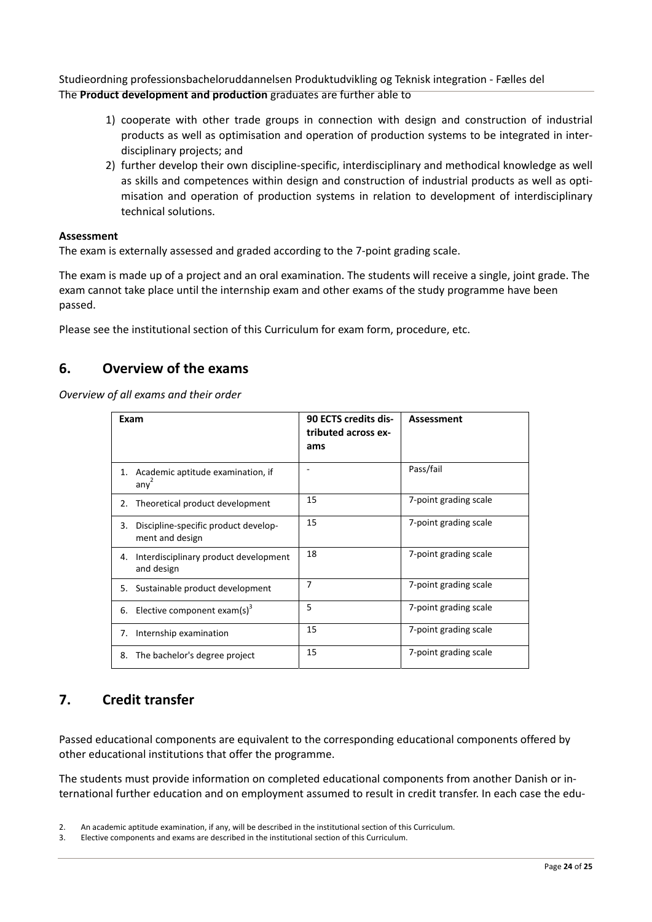Studieordning professionsbacheloruddannelsen Produktudvikling og Teknisk integration ‐ Fælles del The **Product development and production** graduates are further able to

- 1) cooperate with other trade groups in connection with design and construction of industrial products as well as optimisation and operation of production systems to be integrated in inter‐ disciplinary projects; and
- 2) further develop their own discipline‐specific, interdisciplinary and methodical knowledge as well as skills and competences within design and construction of industrial products as well as opti‐ misation and operation of production systems in relation to development of interdisciplinary technical solutions.

#### **Assessment**

The exam is externally assessed and graded according to the 7‐point grading scale.

The exam is made up of a project and an oral examination. The students will receive a single, joint grade. The exam cannot take place until the internship exam and other exams of the study programme have been passed.

Please see the institutional section of this Curriculum for exam form, procedure, etc.

## **6. Overview of the exams**

*Overview of all exams and their order*

| Exam |                                                         | 90 ECTS credits dis-<br>tributed across ex-<br>ams | <b>Assessment</b>     |
|------|---------------------------------------------------------|----------------------------------------------------|-----------------------|
| 1.   | Academic aptitude examination, if<br>any <sup>2</sup>   |                                                    | Pass/fail             |
| 2.   | Theoretical product development                         | 15                                                 | 7-point grading scale |
| 3.   | Discipline-specific product develop-<br>ment and design | 15                                                 | 7-point grading scale |
| 4.   | Interdisciplinary product development<br>and design     | 18                                                 | 7-point grading scale |
| 5.   | Sustainable product development                         | 7                                                  | 7-point grading scale |
| 6.   | Elective component exam(s) <sup>3</sup>                 | 5                                                  | 7-point grading scale |
| 7.   | Internship examination                                  | 15                                                 | 7-point grading scale |
| 8.   | The bachelor's degree project                           | 15                                                 | 7-point grading scale |

## **7. Credit transfer**

Passed educational components are equivalent to the corresponding educational components offered by other educational institutions that offer the programme.

The students must provide information on completed educational components from another Danish or in‐ ternational further education and on employment assumed to result in credit transfer. In each case the edu‐

<sup>2.</sup> An academic aptitude examination, if any, will be described in the institutional section of this Curriculum.

<sup>3.</sup> Elective components and exams are described in the institutional section of this Curriculum.